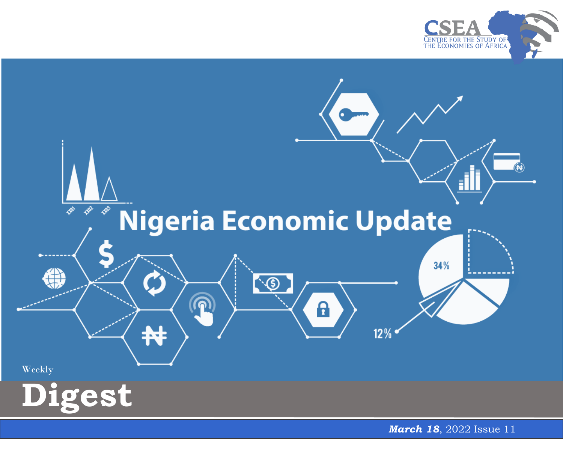



*March 18*, 2022 Issue 11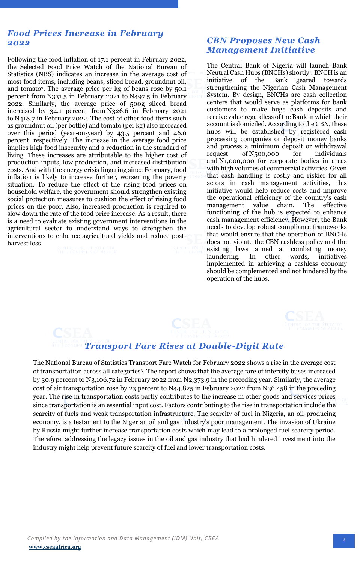## *Food Prices Increase in February 2022*

Following the food inflation of 17.1 percent in February 2022, the Selected Food Price Watch of the National Bureau of Statistics (NBS) indicates an increase in the average cost of most food items, including beans, sliced bread, groundnut oil, and tomato<sup>2</sup> . The average price per kg of beans rose by 50.1 percent from N331.5 in February 2021 to N497.5 in February 2022. Similarly, the average price of 500g sliced bread increased by 34.1 percent from N326.6 in February 2021 to N418.7 in February 2022. The cost of other food items such as groundnut oil (per bottle) and tomato (per kg) also increased over this period (year-on-year) by 43.5 percent and 46.0 percent, respectively. The increase in the average food price implies high food insecurity and a reduction in the standard of living. These increases are attributable to the higher cost of production inputs, low production, and increased distribution costs. And with the energy crisis lingering since February, food inflation is likely to increase further, worsening the poverty situation. To reduce the effect of the rising food prices on household welfare, the government should strengthen existing social protection measures to cushion the effect of rising food prices on the poor. Also, increased production is required to slow down the rate of the food price increase. As a result, there is a need to evaluate existing government interventions in the agricultural sector to understand ways to strengthen the interventions to enhance agricultural yields and reduce postharvest loss

## *CBN Proposes New Cash Management Initiative*

The Central Bank of Nigeria will launch Bank Neutral Cash Hubs (BNCHs) shortly<sup>1</sup> . BNCH is an initiative of the Bank geared towards strengthening the Nigerian Cash Management System. By design, BNCHs are cash collection centers that would serve as platforms for bank customers to make huge cash deposits and receive value regardless of the Bank in which their account is domiciled. According to the CBN, these hubs will be established by registered cash processing companies or deposit money banks and process a minimum deposit or withdrawal request of N500,000 for individuals and N1,000,000 for corporate bodies in areas with high volumes of commercial activities. Given that cash handling is costly and riskier for all actors in cash management activities, this initiative would help reduce costs and improve the operational efficiency of the country's cash management value chain. The effective functioning of the hub is expected to enhance cash management efficiency. However, the Bank needs to develop robust compliance frameworks that would ensure that the operation of BNCHs does not violate the CBN cashless policy and the existing laws aimed at combating money laundering. In other words, initiatives implemented in achieving a cashless economy should be complemented and not hindered by the operation of the hubs.



## *Transport Fare Rises at Double-Digit Rate*

 Therefore, addressing the legacy issues in the oil and gas industry that had hindered investment into the The National Bureau of Statistics Transport Fare Watch for February 2022 shows a rise in the average cost of transportation across all categories<sup>3</sup> . The report shows that the average fare of intercity buses increased by 30.9 percent to N3,106.72 in February 2022 from N2,373.9 in the preceding year. Similarly, the average cost of air transportation rose by 23 percent to N44,825 in February 2022 from N36,458 in the preceding year. The rise in transportation costs partly contributes to the increase in other goods and services prices since transportation is an essential input cost. Factors contributing to the rise in transportation include the scarcity of fuels and weak transportation infrastructure. The scarcity of fuel in Nigeria, an oil-producing economy, is a testament to the Nigerian oil and gas industry's poor management. The invasion of Ukraine by Russia might further increase transportation costs which may lead to a prolonged fuel scarcity period. industry might help prevent future scarcity of fuel and lower transportation costs.